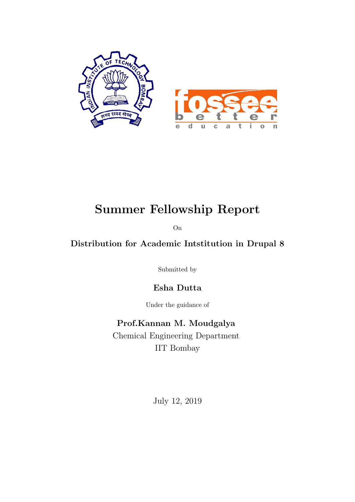

### Summer Fellowship Report

On

#### Distribution for Academic Intstitution in Drupal 8

Submitted by

Esha Dutta

Under the guidance of

Prof.Kannan M. Moudgalya Chemical Engineering Department IIT Bombay

July 12, 2019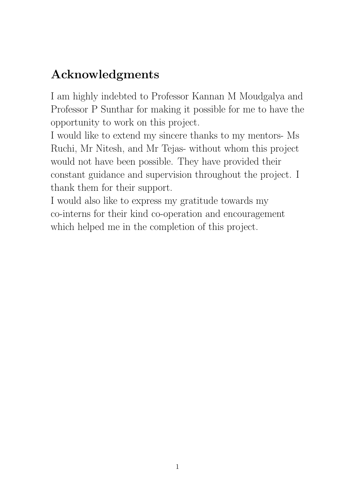### Acknowledgments

I am highly indebted to Professor Kannan M Moudgalya and Professor P Sunthar for making it possible for me to have the opportunity to work on this project.

I would like to extend my sincere thanks to my mentors- Ms Ruchi, Mr Nitesh, and Mr Tejas- without whom this project would not have been possible. They have provided their constant guidance and supervision throughout the project. I thank them for their support.

I would also like to express my gratitude towards my co-interns for their kind co-operation and encouragement which helped me in the completion of this project.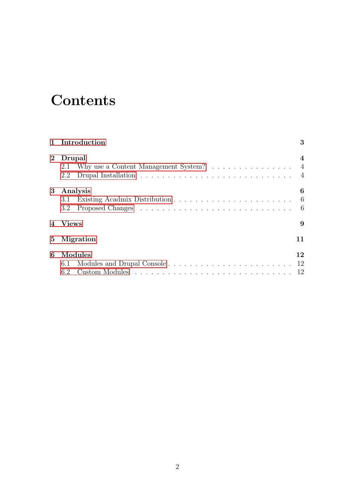### **Contents**

| 1 Introduction  |                                               |                  |  |  |  |  |
|-----------------|-----------------------------------------------|------------------|--|--|--|--|
| $2^{\circ}$     | Drupal                                        | 4                |  |  |  |  |
|                 | Why use a Content Management System? 4<br>2.1 |                  |  |  |  |  |
|                 | 2.2                                           | $\overline{4}$   |  |  |  |  |
| $3\phantom{.0}$ | Analysis                                      | 6                |  |  |  |  |
|                 | 3.1                                           | $6\phantom{.0}6$ |  |  |  |  |
|                 | $3.2^{\circ}$                                 | - 6              |  |  |  |  |
|                 | 4 Views<br>9                                  |                  |  |  |  |  |
| $5^{\circ}$     | Migration<br>11                               |                  |  |  |  |  |
| 6               | Modules                                       | 12               |  |  |  |  |
|                 | 6.1                                           | 12               |  |  |  |  |
|                 | 6.2                                           |                  |  |  |  |  |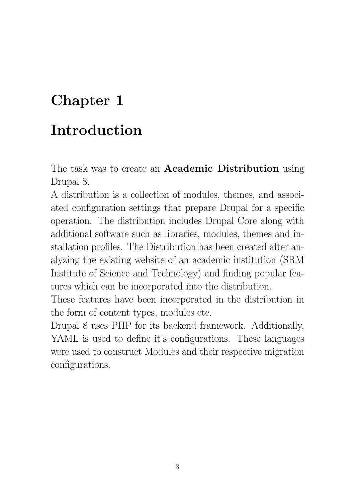## <span id="page-3-0"></span>Introduction

The task was to create an **Academic Distribution** using Drupal 8.

A distribution is a collection of modules, themes, and associated configuration settings that prepare Drupal for a specific operation. The distribution includes Drupal Core along with additional software such as libraries, modules, themes and installation profiles. The Distribution has been created after analyzing the existing website of an academic institution (SRM Institute of Science and Technology) and finding popular features which can be incorporated into the distribution.

These features have been incorporated in the distribution in the form of content types, modules etc.

Drupal 8 uses PHP for its backend framework. Additionally, YAML is used to define it's configurations. These languages were used to construct Modules and their respective migration configurations.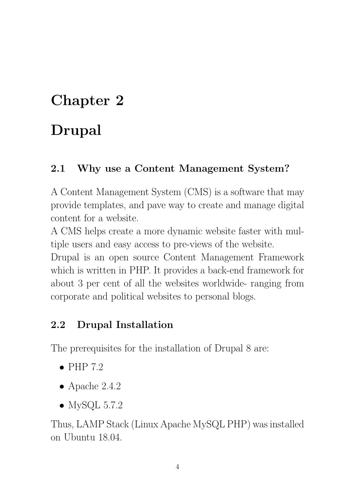## <span id="page-4-0"></span>Drupal

#### <span id="page-4-1"></span>2.1 Why use a Content Management System?

A Content Management System (CMS) is a software that may provide templates, and pave way to create and manage digital content for a website.

A CMS helps create a more dynamic website faster with multiple users and easy access to pre-views of the website.

Drupal is an open source Content Management Framework which is written in PHP. It provides a back-end framework for about 3 per cent of all the websites worldwide- ranging from corporate and political websites to personal blogs.

#### <span id="page-4-2"></span>2.2 Drupal Installation

The prerequisites for the installation of Drupal 8 are:

- $\bullet$  PHP 7.2
- $\bullet$  Apache 2.4.2
- MySQL  $5.7.2$

Thus, LAMP Stack (Linux Apache MySQL PHP) was installed on Ubuntu 18.04.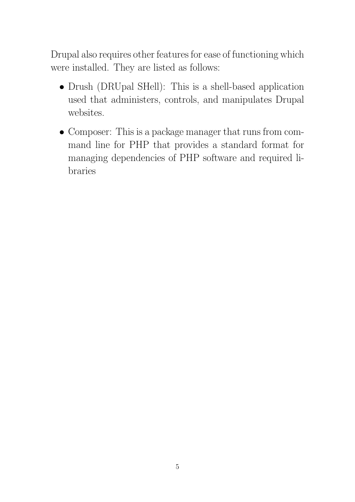Drupal also requires other features for ease of functioning which were installed. They are listed as follows:

- Drush (DRUpal SHell): This is a shell-based application used that administers, controls, and manipulates Drupal websites.
- Composer: This is a package manager that runs from command line for PHP that provides a standard format for managing dependencies of PHP software and required libraries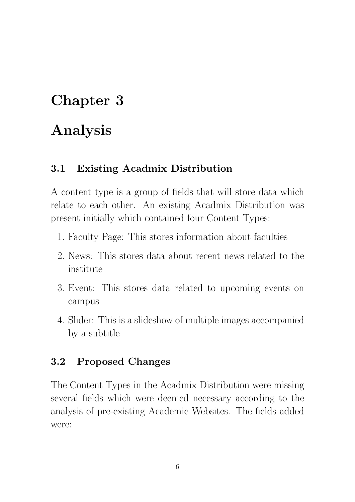### <span id="page-6-0"></span>Analysis

#### <span id="page-6-1"></span>3.1 Existing Acadmix Distribution

A content type is a group of fields that will store data which relate to each other. An existing Acadmix Distribution was present initially which contained four Content Types:

- 1. Faculty Page: This stores information about faculties
- 2. News: This stores data about recent news related to the institute
- 3. Event: This stores data related to upcoming events on campus
- 4. Slider: This is a slideshow of multiple images accompanied by a subtitle

#### <span id="page-6-2"></span>3.2 Proposed Changes

The Content Types in the Acadmix Distribution were missing several fields which were deemed necessary according to the analysis of pre-existing Academic Websites. The fields added were: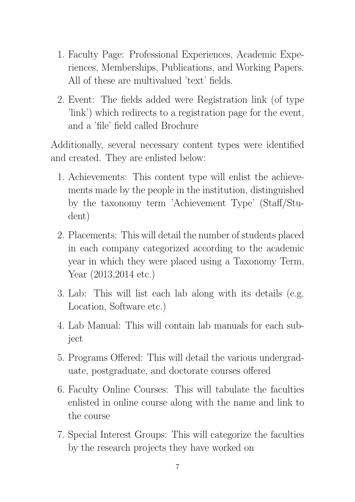- 1. Faculty Page: Professional Experiences, Academic Experiences, Memberships, Publications, and Working Papers. All of these are multivalued 'text' fields.
- 2. Event: The fields added were Registration link (of type 'link') which redirects to a registration page for the event, and a 'file' field called Brochure

Additionally, several necessary content types were identified and created. They are enlisted below:

- 1. Achievements: This content type will enlist the achievements made by the people in the institution, distinguished by the taxonomy term 'Achievement Type' (Staff/Student)
- 2. Placements: This will detail the number of students placed in each company categorized according to the academic year in which they were placed using a Taxonomy Term, Year (2013,2014 etc.)
- 3. Lab: This will list each lab along with its details (e.g. Location, Software etc.)
- 4. Lab Manual: This will contain lab manuals for each subject
- 5. Programs Offered: This will detail the various undergraduate, postgraduate, and doctorate courses offered
- 6. Faculty Online Courses: This will tabulate the faculties enlisted in online course along with the name and link to the course
- 7. Special Interest Groups: This will categorize the faculties by the research projects they have worked on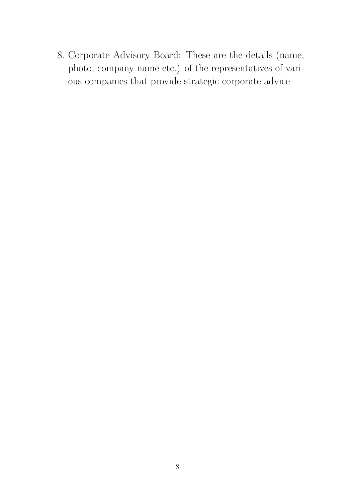8. Corporate Advisory Board: These are the details (name, photo, company name etc.) of the representatives of various companies that provide strategic corporate advice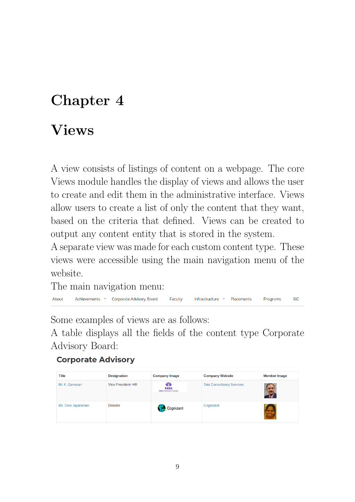### <span id="page-9-0"></span>Views

A view consists of listings of content on a webpage. The core Views module handles the display of views and allows the user to create and edit them in the administrative interface. Views allow users to create a list of only the content that they want, based on the criteria that defined. Views can be created to output any content entity that is stored in the system.

A separate view was made for each custom content type. These views were accessible using the main navigation menu of the website.

The main navigation menu:

About Achievements \* Corporate Advisory Board Faculty Infrastructure \* Placements **Programs SIG** 

Some examples of views are as follows:

A table displays all the fields of the content type Corporate Advisory Board:

#### **Corporate Advisory**

| <b>Title</b>       | <b>Designation</b>       | <b>Company Image</b>                                 | <b>Company Website</b>           | <b>Member Image</b> |
|--------------------|--------------------------|------------------------------------------------------|----------------------------------|---------------------|
| Mr. K. Ganesan     | <b>Vice President-HR</b> | Œ<br><b>TATA</b><br><b>TATA CONSULTANCY SERVICES</b> | <b>Tata Consultancy Services</b> |                     |
| Ms. Devi Jayaraman | <b>Director</b>          | Cognizant                                            | Cognizant                        | $\frac{1}{2}$       |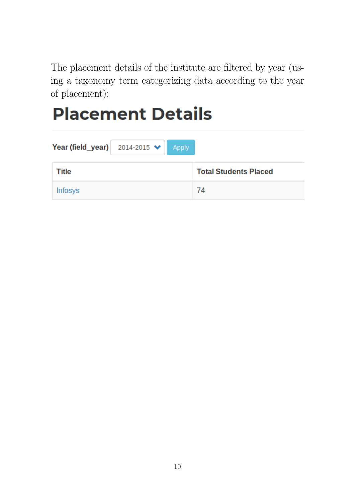The placement details of the institute are filtered by year (using a taxonomy term categorizing data according to the year of placement):

# **Placement Details**

| Year (field_year) $2014-2015 \times$ Apply |                              |
|--------------------------------------------|------------------------------|
| <b>Title</b>                               | <b>Total Students Placed</b> |
| <b>Infosys</b>                             | 74                           |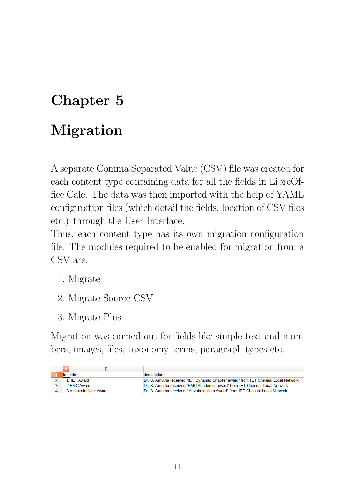## <span id="page-11-0"></span>Migration

A separate Comma Separated Value (CSV) file was created for each content type containing data for all the fields in LibreOffice Calc. The data was then imported with the help of YAML configuration files (which detail the fields, location of CSV files etc.) through the User Interface.

Thus, each content type has its own migration configuration file. The modules required to be enabled for migration from a CSV are:

- 1. Migrate
- 2. Migrate Source CSV
- 3. Migrate Plus

Migration was carried out for fields like simple text and numbers, images, files, taxonomy terms, paragraph types etc.

|  | title                  | description                                                                       |
|--|------------------------|-----------------------------------------------------------------------------------|
|  | <b>IET Award</b>       | Dr. B. Amutha received "IET Dynamic Chapter award" from IET Chennai Local Network |
|  | 2 EMC Award            | Dr. B. Amutha received "EMC Academic award" from IET Chennai Local Network        |
|  | 3 Arivukalaniiam Award | Dr. B. Amutha received "Arivukalaniiam Award" from IET Chennai Local Network      |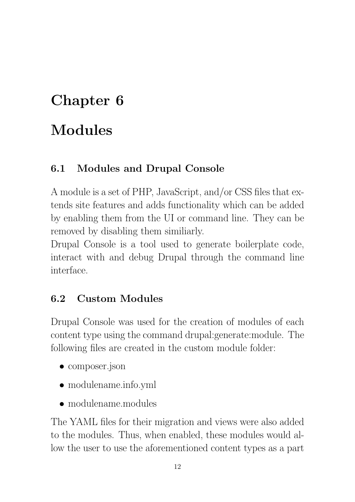## <span id="page-12-0"></span>Modules

#### <span id="page-12-1"></span>6.1 Modules and Drupal Console

A module is a set of PHP, JavaScript, and/or CSS files that extends site features and adds functionality which can be added by enabling them from the UI or command line. They can be removed by disabling them similiarly.

Drupal Console is a tool used to generate boilerplate code, interact with and debug Drupal through the command line interface.

#### <span id="page-12-2"></span>6.2 Custom Modules

Drupal Console was used for the creation of modules of each content type using the command drupal:generate:module. The following files are created in the custom module folder:

- composer.json
- modulename.info.yml
- $\bullet$  modulename modules

The YAML files for their migration and views were also added to the modules. Thus, when enabled, these modules would allow the user to use the aforementioned content types as a part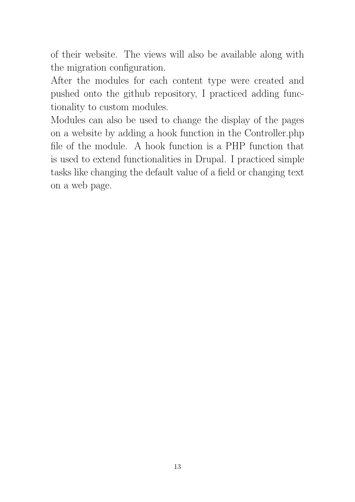of their website. The views will also be available along with the migration configuration.

After the modules for each content type were created and pushed onto the github repository, I practiced adding functionality to custom modules.

Modules can also be used to change the display of the pages on a website by adding a hook function in the Controller.php file of the module. A hook function is a PHP function that is used to extend functionalities in Drupal. I practiced simple tasks like changing the default value of a field or changing text on a web page.